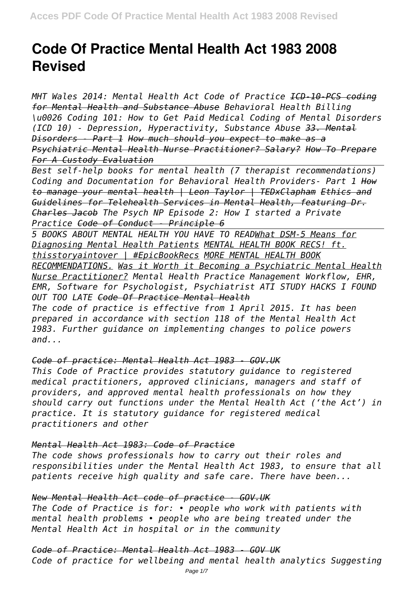# **Code Of Practice Mental Health Act 1983 2008 Revised**

*MHT Wales 2014: Mental Health Act Code of Practice ICD-10-PCS coding for Mental Health and Substance Abuse Behavioral Health Billing \u0026 Coding 101: How to Get Paid Medical Coding of Mental Disorders (ICD 10) - Depression, Hyperactivity, Substance Abuse 33. Mental Disorders - Part 1 How much should you expect to make as a Psychiatric Mental Health Nurse Practitioner? Salary? How To Prepare For A Custody Evaluation*

*Best self-help books for mental health (7 therapist recommendations) Coding and Documentation for Behavioral Health Providers- Part 1 How to manage your mental health | Leon Taylor | TEDxClapham Ethics and Guidelines for Telehealth Services in Mental Health, featuring Dr. Charles Jacob The Psych NP Episode 2: How I started a Private Practice Code of Conduct - Principle 6*

*5 BOOKS ABOUT MENTAL HEALTH YOU HAVE TO READWhat DSM-5 Means for Diagnosing Mental Health Patients MENTAL HEALTH BOOK RECS! ft. thisstoryaintover | #EpicBookRecs MORE MENTAL HEALTH BOOK RECOMMENDATIONS. Was it Worth it Becoming a Psychiatric Mental Health Nurse Practitioner? Mental Health Practice Management Workflow, EHR, EMR, Software for Psychologist, Psychiatrist ATI STUDY HACKS I FOUND OUT TOO LATE Code Of Practice Mental Health*

*The code of practice is effective from 1 April 2015. It has been prepared in accordance with section 118 of the Mental Health Act 1983. Further guidance on implementing changes to police powers and...*

## *Code of practice: Mental Health Act 1983 - GOV.UK*

*This Code of Practice provides statutory guidance to registered medical practitioners, approved clinicians, managers and staff of providers, and approved mental health professionals on how they should carry out functions under the Mental Health Act ('the Act') in practice. It is statutory guidance for registered medical practitioners and other*

## *Mental Health Act 1983: Code of Practice*

*The code shows professionals how to carry out their roles and responsibilities under the Mental Health Act 1983, to ensure that all patients receive high quality and safe care. There have been...*

## *New Mental Health Act code of practice - GOV.UK*

*The Code of Practice is for: • people who work with patients with mental health problems • people who are being treated under the Mental Health Act in hospital or in the community*

#### *Code of Practice: Mental Health Act 1983 - GOV UK*

*Code of practice for wellbeing and mental health analytics Suggesting*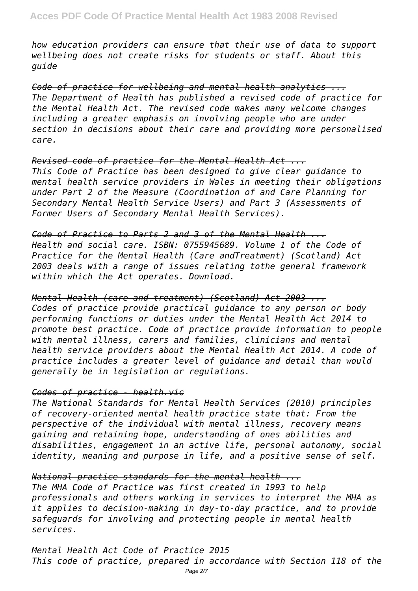*how education providers can ensure that their use of data to support wellbeing does not create risks for students or staff. About this guide*

*Code of practice for wellbeing and mental health analytics ... The Department of Health has published a revised code of practice for the Mental Health Act. The revised code makes many welcome changes including a greater emphasis on involving people who are under section in decisions about their care and providing more personalised care.*

#### *Revised code of practice for the Mental Health Act ...*

*This Code of Practice has been designed to give clear guidance to mental health service providers in Wales in meeting their obligations under Part 2 of the Measure (Coordination of and Care Planning for Secondary Mental Health Service Users) and Part 3 (Assessments of Former Users of Secondary Mental Health Services).*

*Code of Practice to Parts 2 and 3 of the Mental Health ... Health and social care. ISBN: 0755945689. Volume 1 of the Code of Practice for the Mental Health (Care andTreatment) (Scotland) Act 2003 deals with a range of issues relating tothe general framework within which the Act operates. Download.*

#### *Mental Health (care and treatment) (Scotland) Act 2003 ...*

*Codes of practice provide practical guidance to any person or body performing functions or duties under the Mental Health Act 2014 to promote best practice. Code of practice provide information to people with mental illness, carers and families, clinicians and mental health service providers about the Mental Health Act 2014. A code of practice includes a greater level of guidance and detail than would generally be in legislation or regulations.*

## *Codes of practice - health.vic*

*The National Standards for Mental Health Services (2010) principles of recovery-oriented mental health practice state that: From the perspective of the individual with mental illness, recovery means gaining and retaining hope, understanding of ones abilities and disabilities, engagement in an active life, personal autonomy, social identity, meaning and purpose in life, and a positive sense of self.*

## *National practice standards for the mental health ...*

*The MHA Code of Practice was first created in 1993 to help professionals and others working in services to interpret the MHA as it applies to decision-making in day-to-day practice, and to provide safeguards for involving and protecting people in mental health services.*

## *Mental Health Act Code of Practice 2015*

*This code of practice, prepared in accordance with Section 118 of the*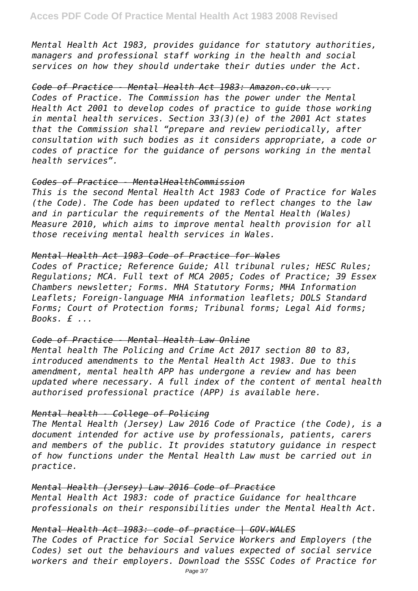*Mental Health Act 1983, provides guidance for statutory authorities, managers and professional staff working in the health and social services on how they should undertake their duties under the Act.*

#### *Code of Practice - Mental Health Act 1983: Amazon.co.uk ...*

*Codes of Practice. The Commission has the power under the Mental Health Act 2001 to develop codes of practice to guide those working in mental health services. Section 33(3)(e) of the 2001 Act states that the Commission shall "prepare and review periodically, after consultation with such bodies as it considers appropriate, a code or codes of practice for the guidance of persons working in the mental health services".*

## *Codes of Practice - MentalHealthCommission*

*This is the second Mental Health Act 1983 Code of Practice for Wales (the Code). The Code has been updated to reflect changes to the law and in particular the requirements of the Mental Health (Wales) Measure 2010, which aims to improve mental health provision for all those receiving mental health services in Wales.*

#### *Mental Health Act 1983 Code of Practice for Wales*

*Codes of Practice; Reference Guide; All tribunal rules; HESC Rules; Regulations; MCA. Full text of MCA 2005; Codes of Practice; 39 Essex Chambers newsletter; Forms. MHA Statutory Forms; MHA Information Leaflets; Foreign-language MHA information leaflets; DOLS Standard Forms; Court of Protection forms; Tribunal forms; Legal Aid forms; Books. £ ...*

#### *Code of Practice - Mental Health Law Online*

*Mental health The Policing and Crime Act 2017 section 80 to 83, introduced amendments to the Mental Health Act 1983. Due to this amendment, mental health APP has undergone a review and has been updated where necessary. A full index of the content of mental health authorised professional practice (APP) is available here.*

#### *Mental health - College of Policing*

*The Mental Health (Jersey) Law 2016 Code of Practice (the Code), is a document intended for active use by professionals, patients, carers and members of the public. It provides statutory guidance in respect of how functions under the Mental Health Law must be carried out in practice.*

## *Mental Health (Jersey) Law 2016 Code of Practice*

*Mental Health Act 1983: code of practice Guidance for healthcare professionals on their responsibilities under the Mental Health Act.*

## *Mental Health Act 1983: code of practice | GOV.WALES*

*The Codes of Practice for Social Service Workers and Employers (the Codes) set out the behaviours and values expected of social service workers and their employers. Download the SSSC Codes of Practice for*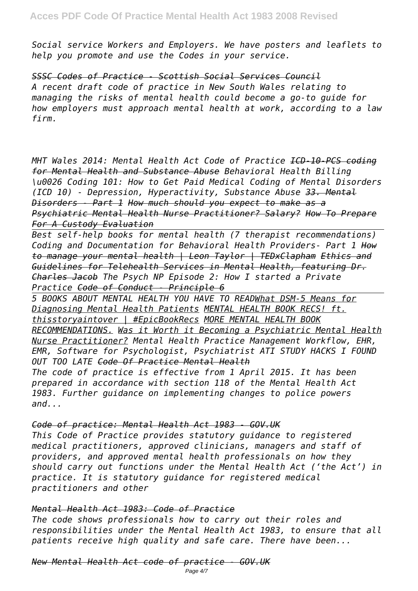*Social service Workers and Employers. We have posters and leaflets to help you promote and use the Codes in your service.*

*SSSC Codes of Practice - Scottish Social Services Council A recent draft code of practice in New South Wales relating to managing the risks of mental health could become a go-to guide for how employers must approach mental health at work, according to a law firm.*

*MHT Wales 2014: Mental Health Act Code of Practice ICD-10-PCS coding for Mental Health and Substance Abuse Behavioral Health Billing \u0026 Coding 101: How to Get Paid Medical Coding of Mental Disorders (ICD 10) - Depression, Hyperactivity, Substance Abuse 33. Mental Disorders - Part 1 How much should you expect to make as a Psychiatric Mental Health Nurse Practitioner? Salary? How To Prepare For A Custody Evaluation*

*Best self-help books for mental health (7 therapist recommendations) Coding and Documentation for Behavioral Health Providers- Part 1 How to manage your mental health | Leon Taylor | TEDxClapham Ethics and Guidelines for Telehealth Services in Mental Health, featuring Dr. Charles Jacob The Psych NP Episode 2: How I started a Private Practice Code of Conduct - Principle 6*

*5 BOOKS ABOUT MENTAL HEALTH YOU HAVE TO READWhat DSM-5 Means for Diagnosing Mental Health Patients MENTAL HEALTH BOOK RECS! ft. thisstoryaintover | #EpicBookRecs MORE MENTAL HEALTH BOOK RECOMMENDATIONS. Was it Worth it Becoming a Psychiatric Mental Health Nurse Practitioner? Mental Health Practice Management Workflow, EHR, EMR, Software for Psychologist, Psychiatrist ATI STUDY HACKS I FOUND OUT TOO LATE Code Of Practice Mental Health The code of practice is effective from 1 April 2015. It has been prepared in accordance with section 118 of the Mental Health Act*

*1983. Further guidance on implementing changes to police powers and...*

## *Code of practice: Mental Health Act 1983 - GOV.UK*

*This Code of Practice provides statutory guidance to registered medical practitioners, approved clinicians, managers and staff of providers, and approved mental health professionals on how they should carry out functions under the Mental Health Act ('the Act') in practice. It is statutory guidance for registered medical practitioners and other*

## *Mental Health Act 1983: Code of Practice*

*The code shows professionals how to carry out their roles and responsibilities under the Mental Health Act 1983, to ensure that all patients receive high quality and safe care. There have been...*

*New Mental Health Act code of practice - GOV.UK*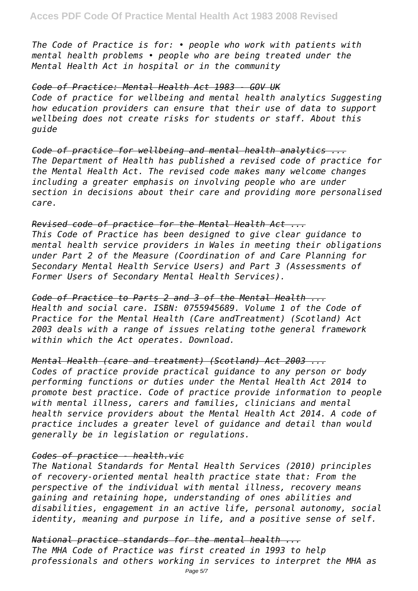*The Code of Practice is for: • people who work with patients with mental health problems • people who are being treated under the Mental Health Act in hospital or in the community*

#### *Code of Practice: Mental Health Act 1983 - GOV UK*

*Code of practice for wellbeing and mental health analytics Suggesting how education providers can ensure that their use of data to support wellbeing does not create risks for students or staff. About this guide*

*Code of practice for wellbeing and mental health analytics ... The Department of Health has published a revised code of practice for the Mental Health Act. The revised code makes many welcome changes including a greater emphasis on involving people who are under section in decisions about their care and providing more personalised care.*

## *Revised code of practice for the Mental Health Act ...*

*This Code of Practice has been designed to give clear guidance to mental health service providers in Wales in meeting their obligations under Part 2 of the Measure (Coordination of and Care Planning for Secondary Mental Health Service Users) and Part 3 (Assessments of Former Users of Secondary Mental Health Services).*

*Code of Practice to Parts 2 and 3 of the Mental Health ... Health and social care. ISBN: 0755945689. Volume 1 of the Code of Practice for the Mental Health (Care andTreatment) (Scotland) Act 2003 deals with a range of issues relating tothe general framework within which the Act operates. Download.*

*Mental Health (care and treatment) (Scotland) Act 2003 ...*

*Codes of practice provide practical guidance to any person or body performing functions or duties under the Mental Health Act 2014 to promote best practice. Code of practice provide information to people with mental illness, carers and families, clinicians and mental health service providers about the Mental Health Act 2014. A code of practice includes a greater level of guidance and detail than would generally be in legislation or regulations.*

## *Codes of practice - health.vic*

*The National Standards for Mental Health Services (2010) principles of recovery-oriented mental health practice state that: From the perspective of the individual with mental illness, recovery means gaining and retaining hope, understanding of ones abilities and disabilities, engagement in an active life, personal autonomy, social identity, meaning and purpose in life, and a positive sense of self.*

*National practice standards for the mental health ... The MHA Code of Practice was first created in 1993 to help professionals and others working in services to interpret the MHA as*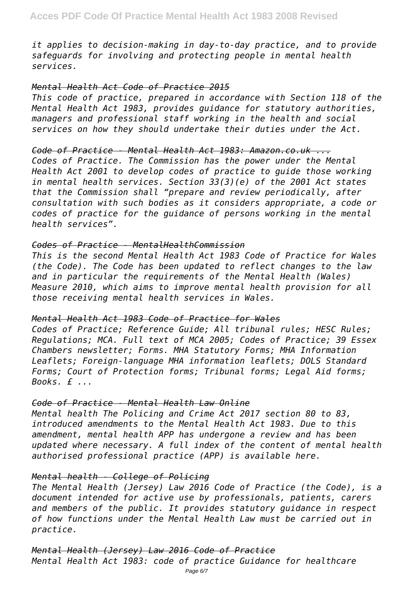*it applies to decision-making in day-to-day practice, and to provide safeguards for involving and protecting people in mental health services.*

#### *Mental Health Act Code of Practice 2015*

*This code of practice, prepared in accordance with Section 118 of the Mental Health Act 1983, provides guidance for statutory authorities, managers and professional staff working in the health and social services on how they should undertake their duties under the Act.*

#### *Code of Practice - Mental Health Act 1983: Amazon.co.uk ...*

*Codes of Practice. The Commission has the power under the Mental Health Act 2001 to develop codes of practice to guide those working in mental health services. Section 33(3)(e) of the 2001 Act states that the Commission shall "prepare and review periodically, after consultation with such bodies as it considers appropriate, a code or codes of practice for the guidance of persons working in the mental health services".*

#### *Codes of Practice - MentalHealthCommission*

*This is the second Mental Health Act 1983 Code of Practice for Wales (the Code). The Code has been updated to reflect changes to the law and in particular the requirements of the Mental Health (Wales) Measure 2010, which aims to improve mental health provision for all those receiving mental health services in Wales.*

## *Mental Health Act 1983 Code of Practice for Wales*

*Codes of Practice; Reference Guide; All tribunal rules; HESC Rules; Regulations; MCA. Full text of MCA 2005; Codes of Practice; 39 Essex Chambers newsletter; Forms. MHA Statutory Forms; MHA Information Leaflets; Foreign-language MHA information leaflets; DOLS Standard Forms; Court of Protection forms; Tribunal forms; Legal Aid forms; Books. £ ...*

#### *Code of Practice - Mental Health Law Online*

*Mental health The Policing and Crime Act 2017 section 80 to 83, introduced amendments to the Mental Health Act 1983. Due to this amendment, mental health APP has undergone a review and has been updated where necessary. A full index of the content of mental health authorised professional practice (APP) is available here.*

## *Mental health - College of Policing*

*The Mental Health (Jersey) Law 2016 Code of Practice (the Code), is a document intended for active use by professionals, patients, carers and members of the public. It provides statutory guidance in respect of how functions under the Mental Health Law must be carried out in practice.*

#### *Mental Health (Jersey) Law 2016 Code of Practice*

*Mental Health Act 1983: code of practice Guidance for healthcare*